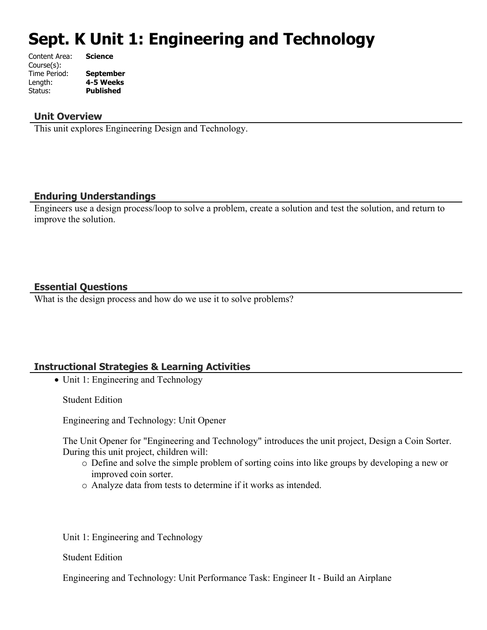# **Sept. K Unit 1: Engineering and Technology**

| Content Area: | <b>Science</b>   |
|---------------|------------------|
| Course(s):    |                  |
| Time Period:  | <b>September</b> |
| Length:       | 4-5 Weeks        |
| Status:       | <b>Published</b> |
|               |                  |

#### **Unit Overview**

This unit explores Engineering Design and Technology.

#### **Enduring Understandings**

Engineers use a design process/loop to solve a problem, create a solution and test the solution, and return to improve the solution.

#### **Essential Questions**

What is the design process and how do we use it to solve problems?

#### **Instructional Strategies & Learning Activities**

• Unit 1: Engineering and Technology

Student Edition

Engineering and Technology: Unit Opener

The Unit Opener for "Engineering and Technology" introduces the unit project, Design a Coin Sorter. During this unit project, children will:

- o Define and solve the simple problem of sorting coins into like groups by developing a new or improved coin sorter.
- o Analyze data from tests to determine if it works as intended.

Unit 1: Engineering and Technology

Student Edition

Engineering and Technology: Unit Performance Task: Engineer It - Build an Airplane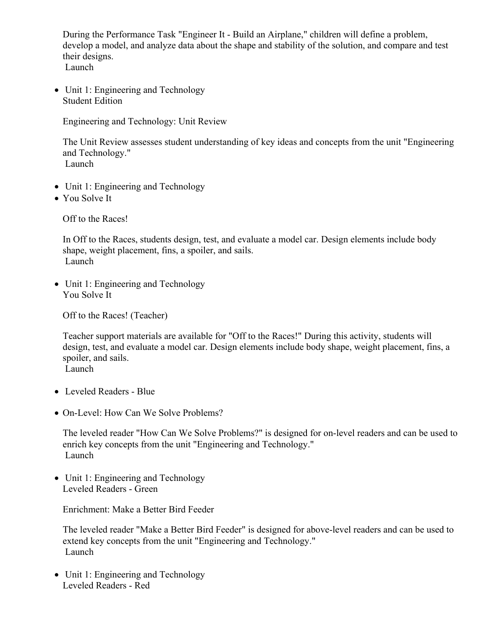During the Performance Task "Engineer It - Build an Airplane," children will define a problem, develop a model, and analyze data about the shape and stability of the solution, and compare and test their designs. Launch

• Unit 1: Engineering and Technology Student Edition

Engineering and Technology: Unit Review

The Unit Review assesses student understanding of key ideas and concepts from the unit "Engineering and Technology." Launch

- Unit 1: Engineering and Technology
- You Solve It

Off to the Races!

In Off to the Races, students design, test, and evaluate a model car. Design elements include body shape, weight placement, fins, a spoiler, and sails. Launch

• Unit 1: Engineering and Technology You Solve It

Off to the Races! (Teacher)

Teacher support materials are available for "Off to the Races!" During this activity, students will design, test, and evaluate a model car. Design elements include body shape, weight placement, fins, a spoiler, and sails.

Launch

- Leveled Readers Blue
- On-Level: How Can We Solve Problems?

The leveled reader "How Can We Solve Problems?" is designed for on-level readers and can be used to enrich key concepts from the unit "Engineering and Technology." Launch

• Unit 1: Engineering and Technology Leveled Readers - Green

Enrichment: Make a Better Bird Feeder

The leveled reader "Make a Better Bird Feeder" is designed for above-level readers and can be used to extend key concepts from the unit "Engineering and Technology." Launch

• Unit 1: Engineering and Technology Leveled Readers - Red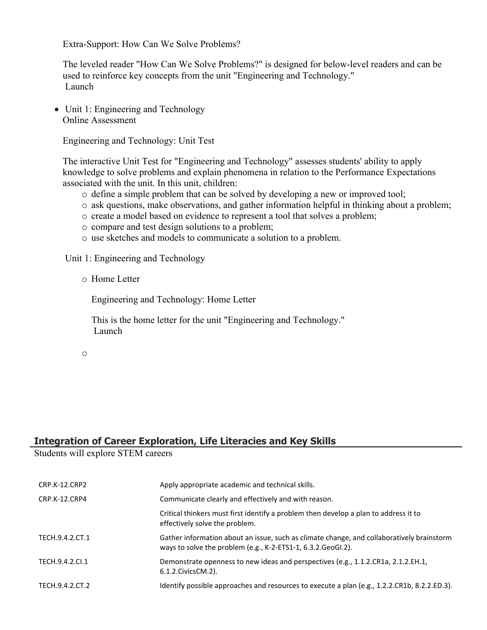Extra-Support: How Can We Solve Problems?

The leveled reader "How Can We Solve Problems?" is designed for below-level readers and can be used to reinforce key concepts from the unit "Engineering and Technology." Launch

• Unit 1: Engineering and Technology Online Assessment

Engineering and Technology: Unit Test

The interactive Unit Test for "Engineering and Technology" assesses students' ability to apply knowledge to solve problems and explain phenomena in relation to the Performance Expectations associated with the unit. In this unit, children:

- o define a simple problem that can be solved by developing a new or improved tool;
- o ask questions, make observations, and gather information helpful in thinking about a problem;
- o create a model based on evidence to represent a tool that solves a problem;
- o compare and test design solutions to a problem;
- o use sketches and models to communicate a solution to a problem.

Unit 1: Engineering and Technology

o Home Letter

Engineering and Technology: Home Letter

This is the home letter for the unit "Engineering and Technology." Launch

o

## **Integration of Career Exploration, Life Literacies and Key Skills**

Students will explore STEM careers

| CRP.K-12.CRP2   | Apply appropriate academic and technical skills.                                                                                                          |
|-----------------|-----------------------------------------------------------------------------------------------------------------------------------------------------------|
| CRP.K-12.CRP4   | Communicate clearly and effectively and with reason.                                                                                                      |
|                 | Critical thinkers must first identify a problem then develop a plan to address it to<br>effectively solve the problem.                                    |
| TECH.9.4.2.CT.1 | Gather information about an issue, such as climate change, and collaboratively brainstorm<br>ways to solve the problem (e.g., K-2-ETS1-1, 6.3.2.GeoGI.2). |
| TECH.9.4.2.Cl.1 | Demonstrate openness to new ideas and perspectives (e.g., 1.1.2.CR1a, 2.1.2.EH.1,<br>6.1.2. Civics CM. 2).                                                |
| TECH.9.4.2.CT.2 | Identify possible approaches and resources to execute a plan (e.g., 1.2.2.CR1b, 8.2.2.ED.3).                                                              |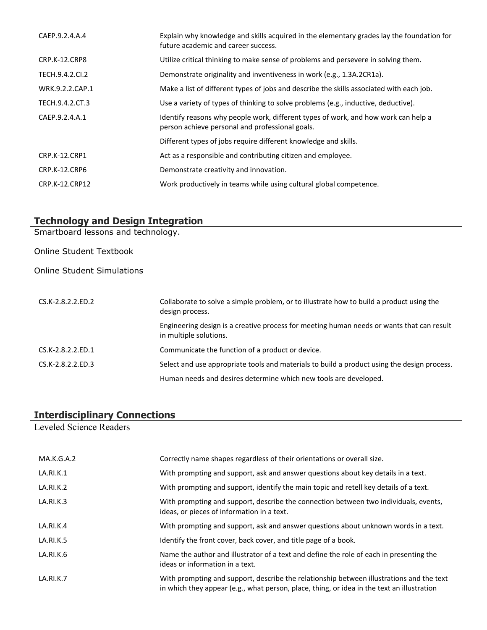| CAEP.9.2.4.A.4       | Explain why knowledge and skills acquired in the elementary grades lay the foundation for<br>future academic and career success.      |
|----------------------|---------------------------------------------------------------------------------------------------------------------------------------|
| CRP.K-12.CRP8        | Utilize critical thinking to make sense of problems and persevere in solving them.                                                    |
| TECH.9.4.2.CI.2      | Demonstrate originality and inventiveness in work (e.g., 1.3A.2CR1a).                                                                 |
| WRK.9.2.2.CAP.1      | Make a list of different types of jobs and describe the skills associated with each job.                                              |
| TECH.9.4.2.CT.3      | Use a variety of types of thinking to solve problems (e.g., inductive, deductive).                                                    |
| CAEP.9.2.4.A.1       | Identify reasons why people work, different types of work, and how work can help a<br>person achieve personal and professional goals. |
|                      | Different types of jobs require different knowledge and skills.                                                                       |
| <b>CRP.K-12.CRP1</b> | Act as a responsible and contributing citizen and employee.                                                                           |
| CRP.K-12.CRP6        | Demonstrate creativity and innovation.                                                                                                |
| CRP.K-12.CRP12       | Work productively in teams while using cultural global competence.                                                                    |

## **Technology and Design Integration**

Smartboard lessons and technology.

Online Student Textbook

Online Student Simulations

| CS.K-2.8.2.2.ED.2    | Collaborate to solve a simple problem, or to illustrate how to build a product using the<br>design process.         |
|----------------------|---------------------------------------------------------------------------------------------------------------------|
|                      | Engineering design is a creative process for meeting human needs or wants that can result<br>in multiple solutions. |
| $CS.K-2.8.2.2 E D.1$ | Communicate the function of a product or device.                                                                    |
| CS.K-2.8.2.2.ED.3    | Select and use appropriate tools and materials to build a product using the design process.                         |
|                      | Human needs and desires determine which new tools are developed.                                                    |

#### **Interdisciplinary Connections**

Leveled Science Readers

| MA.K.G.A.2 | Correctly name shapes regardless of their orientations or overall size.                                                                                                                |
|------------|----------------------------------------------------------------------------------------------------------------------------------------------------------------------------------------|
| LA.RI.K.1  | With prompting and support, ask and answer questions about key details in a text.                                                                                                      |
| LA.RI.K.2  | With prompting and support, identify the main topic and retell key details of a text.                                                                                                  |
| LA.RI.K.3  | With prompting and support, describe the connection between two individuals, events,<br>ideas, or pieces of information in a text.                                                     |
| LA.RI.K.4  | With prompting and support, ask and answer questions about unknown words in a text.                                                                                                    |
| LA.RI.K.5  | Identify the front cover, back cover, and title page of a book.                                                                                                                        |
| LA.RI.K.6  | Name the author and illustrator of a text and define the role of each in presenting the<br>ideas or information in a text.                                                             |
| LA.RI.K.7  | With prompting and support, describe the relationship between illustrations and the text<br>in which they appear (e.g., what person, place, thing, or idea in the text an illustration |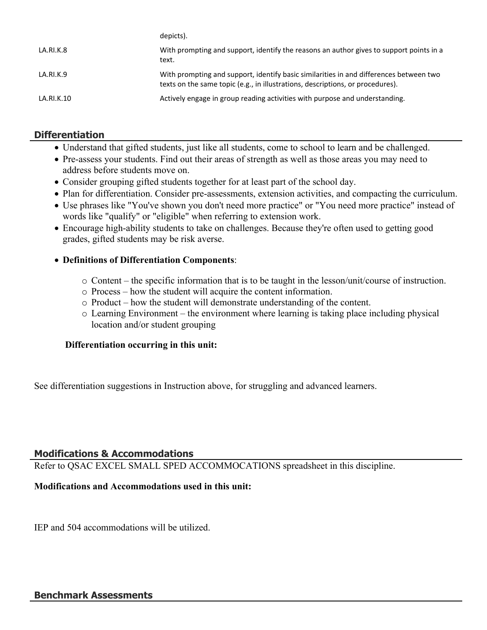|            | uepicts).                                                                                                                                                                |
|------------|--------------------------------------------------------------------------------------------------------------------------------------------------------------------------|
| LA.RI.K.8  | With prompting and support, identify the reasons an author gives to support points in a<br>text.                                                                         |
| LA.RI.K.9  | With prompting and support, identify basic similarities in and differences between two<br>texts on the same topic (e.g., in illustrations, descriptions, or procedures). |
| LA.RI.K.10 | Actively engage in group reading activities with purpose and understanding.                                                                                              |

## **Differentiation**

- Understand that gifted students, just like all students, come to school to learn and be challenged.
- Pre-assess your students. Find out their areas of strength as well as those areas you may need to address before students move on.
- Consider grouping gifted students together for at least part of the school day.

depicts).

- Plan for differentiation. Consider pre-assessments, extension activities, and compacting the curriculum.
- Use phrases like "You've shown you don't need more practice" or "You need more practice" instead of words like "qualify" or "eligible" when referring to extension work.
- Encourage high-ability students to take on challenges. Because they're often used to getting good grades, gifted students may be risk averse.

#### **Definitions of Differentiation Components**:

- o Content the specific information that is to be taught in the lesson/unit/course of instruction.
- o Process how the student will acquire the content information.
- o Product how the student will demonstrate understanding of the content.
- o Learning Environment the environment where learning is taking place including physical location and/or student grouping

#### **Differentiation occurring in this unit:**

See differentiation suggestions in Instruction above, for struggling and advanced learners.

#### **Modifications & Accommodations**

Refer to QSAC EXCEL SMALL SPED ACCOMMOCATIONS spreadsheet in this discipline.

#### **Modifications and Accommodations used in this unit:**

IEP and 504 accommodations will be utilized.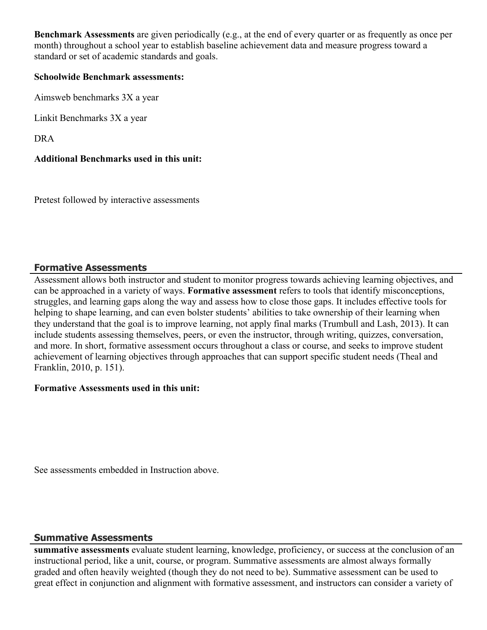**Benchmark Assessments** are given periodically (e.g., at the end of every quarter or as frequently as once per month) throughout a school year to establish baseline achievement data and measure progress toward a standard or set of academic standards and goals.

#### **Schoolwide Benchmark assessments:**

Aimsweb benchmarks 3X a year

Linkit Benchmarks 3X a year

DRA

#### **Additional Benchmarks used in this unit:**

Pretest followed by interactive assessments

## **Formative Assessments**

Assessment allows both instructor and student to monitor progress towards achieving learning objectives, and can be approached in a variety of ways. **Formative assessment** refers to tools that identify misconceptions, struggles, and learning gaps along the way and assess how to close those gaps. It includes effective tools for helping to shape learning, and can even bolster students' abilities to take ownership of their learning when they understand that the goal is to improve learning, not apply final marks (Trumbull and Lash, 2013). It can include students assessing themselves, peers, or even the instructor, through writing, quizzes, conversation, and more. In short, formative assessment occurs throughout a class or course, and seeks to improve student achievement of learning objectives through approaches that can support specific student needs (Theal and Franklin, 2010, p. 151).

#### **Formative Assessments used in this unit:**

See assessments embedded in Instruction above.

#### **Summative Assessments**

**summative assessments** evaluate student learning, knowledge, proficiency, or success at the conclusion of an instructional period, like a unit, course, or program. Summative assessments are almost always formally graded and often heavily weighted (though they do not need to be). Summative assessment can be used to great effect in conjunction and alignment with formative assessment, and instructors can consider a variety of